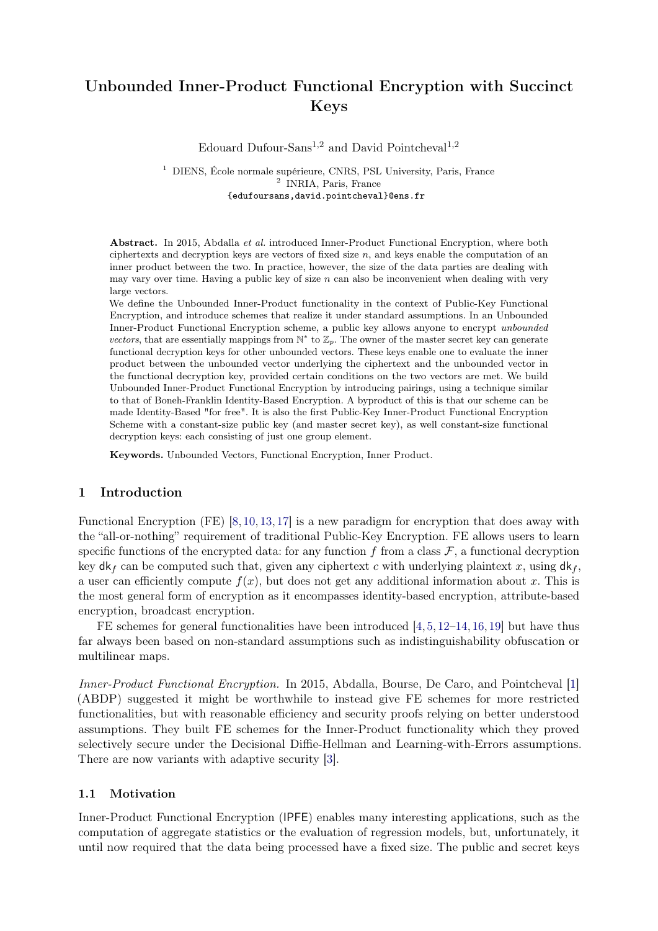# <span id="page-0-0"></span>Unbounded Inner-Product Functional Encryption with Succinct Keys

Edouard Dufour-Sans<sup>1,2</sup> and David Pointcheval<sup>1,2</sup>

#### <sup>1</sup> DIENS, École normale supérieure, CNRS, PSL University, Paris, France 2 INRIA, Paris, France {edufoursans,david.pointcheval}@ens.fr

Abstract. In 2015, Abdalla *et al.* introduced Inner-Product Functional Encryption, where both ciphertexts and decryption keys are vectors of fixed size n, and keys enable the computation of an inner product between the two. In practice, however, the size of the data parties are dealing with may vary over time. Having a public key of size  $n$  can also be inconvenient when dealing with very large vectors.

We define the Unbounded Inner-Product functionality in the context of Public-Key Functional Encryption, and introduce schemes that realize it under standard assumptions. In an Unbounded Inner-Product Functional Encryption scheme, a public key allows anyone to encrypt unbounded vectors, that are essentially mappings from  $\mathbb{N}^*$  to  $\mathbb{Z}_p$ . The owner of the master secret key can generate functional decryption keys for other unbounded vectors. These keys enable one to evaluate the inner product between the unbounded vector underlying the ciphertext and the unbounded vector in the functional decryption key, provided certain conditions on the two vectors are met. We build Unbounded Inner-Product Functional Encryption by introducing pairings, using a technique similar to that of Boneh-Franklin Identity-Based Encryption. A byproduct of this is that our scheme can be made Identity-Based "for free". It is also the first Public-Key Inner-Product Functional Encryption Scheme with a constant-size public key (and master secret key), as well constant-size functional decryption keys: each consisting of just one group element.

Keywords. Unbounded Vectors, Functional Encryption, Inner Product.

# 1 Introduction

Functional Encryption (FE) [\[8,](#page-11-0) [10,](#page-11-1) [13,](#page-11-2) [17\]](#page-11-3) is a new paradigm for encryption that does away with the "all-or-nothing" requirement of traditional Public-Key Encryption. FE allows users to learn specific functions of the encrypted data: for any function f from a class  $\mathcal{F}$ , a functional decryption key  $d\mathbf{k}_f$  can be computed such that, given any ciphertext c with underlying plaintext x, using  $d\mathbf{k}_f$ , a user can efficiently compute  $f(x)$ , but does not get any additional information about x. This is the most general form of encryption as it encompasses identity-based encryption, attribute-based encryption, broadcast encryption.

FE schemes for general functionalities have been introduced [\[4,](#page-11-4) [5,](#page-11-5) [12](#page-11-6)[–14,](#page-11-7) [16,](#page-11-8) [19\]](#page-11-9) but have thus far always been based on non-standard assumptions such as indistinguishability obfuscation or multilinear maps.

Inner-Product Functional Encryption. In 2015, Abdalla, Bourse, De Caro, and Pointcheval [\[1\]](#page-11-10) (ABDP) suggested it might be worthwhile to instead give FE schemes for more restricted functionalities, but with reasonable efficiency and security proofs relying on better understood assumptions. They built FE schemes for the Inner-Product functionality which they proved selectively secure under the Decisional Diffie-Hellman and Learning-with-Errors assumptions. There are now variants with adaptive security [\[3\]](#page-11-11).

# 1.1 Motivation

Inner-Product Functional Encryption (IPFE) enables many interesting applications, such as the computation of aggregate statistics or the evaluation of regression models, but, unfortunately, it until now required that the data being processed have a fixed size. The public and secret keys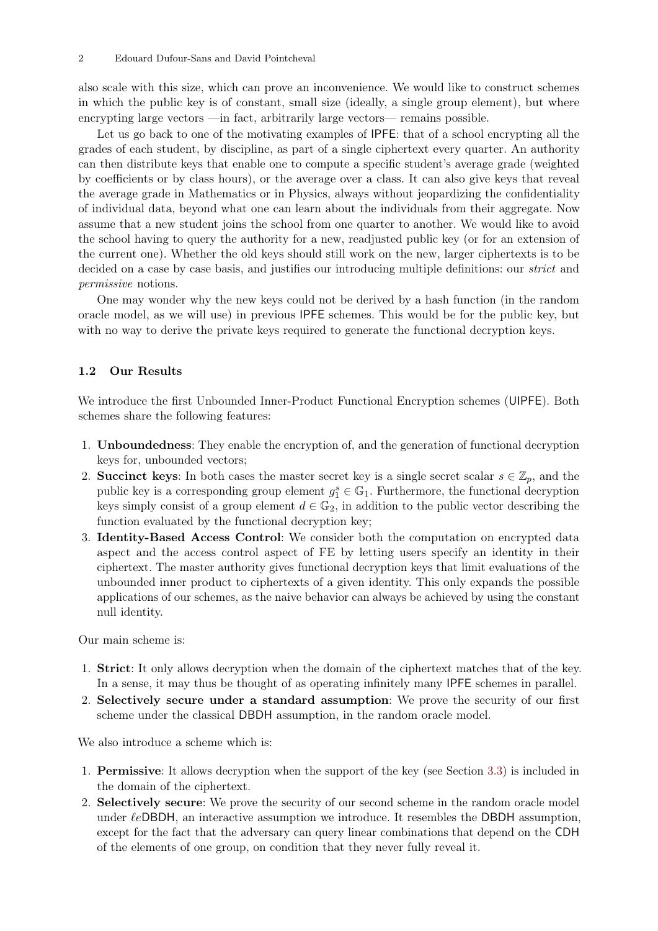also scale with this size, which can prove an inconvenience. We would like to construct schemes in which the public key is of constant, small size (ideally, a single group element), but where encrypting large vectors —in fact, arbitrarily large vectors— remains possible.

Let us go back to one of the motivating examples of IPFE: that of a school encrypting all the grades of each student, by discipline, as part of a single ciphertext every quarter. An authority can then distribute keys that enable one to compute a specific student's average grade (weighted by coefficients or by class hours), or the average over a class. It can also give keys that reveal the average grade in Mathematics or in Physics, always without jeopardizing the confidentiality of individual data, beyond what one can learn about the individuals from their aggregate. Now assume that a new student joins the school from one quarter to another. We would like to avoid the school having to query the authority for a new, readjusted public key (or for an extension of the current one). Whether the old keys should still work on the new, larger ciphertexts is to be decided on a case by case basis, and justifies our introducing multiple definitions: our *strict* and permissive notions.

One may wonder why the new keys could not be derived by a hash function (in the random oracle model, as we will use) in previous IPFE schemes. This would be for the public key, but with no way to derive the private keys required to generate the functional decryption keys.

# 1.2 Our Results

We introduce the first Unbounded Inner-Product Functional Encryption schemes (UIPFE). Both schemes share the following features:

- 1. Unboundedness: They enable the encryption of, and the generation of functional decryption keys for, unbounded vectors;
- 2. Succinct keys: In both cases the master secret key is a single secret scalar  $s \in \mathbb{Z}_p$ , and the public key is a corresponding group element  $g_1^s \in \mathbb{G}_1$ . Furthermore, the functional decryption keys simply consist of a group element  $d \in \mathbb{G}_2$ , in addition to the public vector describing the function evaluated by the functional decryption key;
- 3. Identity-Based Access Control: We consider both the computation on encrypted data aspect and the access control aspect of FE by letting users specify an identity in their ciphertext. The master authority gives functional decryption keys that limit evaluations of the unbounded inner product to ciphertexts of a given identity. This only expands the possible applications of our schemes, as the naive behavior can always be achieved by using the constant null identity.

Our main scheme is:

- 1. Strict: It only allows decryption when the domain of the ciphertext matches that of the key. In a sense, it may thus be thought of as operating infinitely many IPFE schemes in parallel.
- 2. Selectively secure under a standard assumption: We prove the security of our first scheme under the classical DBDH assumption, in the random oracle model.

We also introduce a scheme which is:

- 1. Permissive: It allows decryption when the support of the key (see Section [3.3\)](#page-6-0) is included in the domain of the ciphertext.
- 2. Selectively secure: We prove the security of our second scheme in the random oracle model under  $\ell$ eDBDH, an interactive assumption we introduce. It resembles the DBDH assumption, except for the fact that the adversary can query linear combinations that depend on the CDH of the elements of one group, on condition that they never fully reveal it.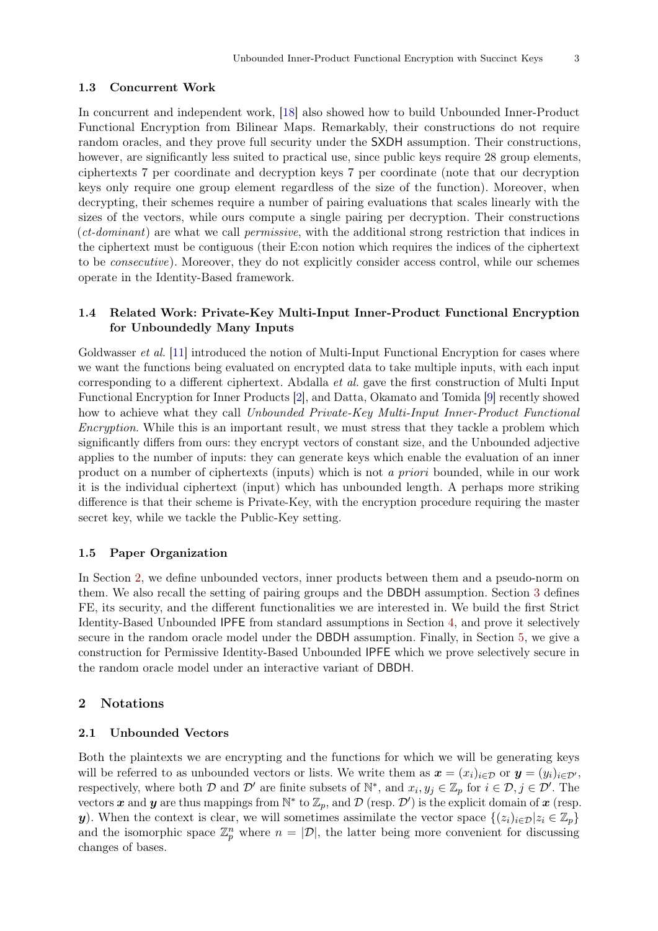#### <span id="page-2-1"></span>1.3 Concurrent Work

In concurrent and independent work, [\[18\]](#page-11-12) also showed how to build Unbounded Inner-Product Functional Encryption from Bilinear Maps. Remarkably, their constructions do not require random oracles, and they prove full security under the SXDH assumption. Their constructions, however, are significantly less suited to practical use, since public keys require 28 group elements, ciphertexts 7 per coordinate and decryption keys 7 per coordinate (note that our decryption keys only require one group element regardless of the size of the function). Moreover, when decrypting, their schemes require a number of pairing evaluations that scales linearly with the sizes of the vectors, while ours compute a single pairing per decryption. Their constructions (ct-dominant) are what we call permissive, with the additional strong restriction that indices in the ciphertext must be contiguous (their E:con notion which requires the indices of the ciphertext to be consecutive). Moreover, they do not explicitly consider access control, while our schemes operate in the Identity-Based framework.

# 1.4 Related Work: Private-Key Multi-Input Inner-Product Functional Encryption for Unboundedly Many Inputs

Goldwasser *et al.* [\[11\]](#page-11-13) introduced the notion of Multi-Input Functional Encryption for cases where we want the functions being evaluated on encrypted data to take multiple inputs, with each input corresponding to a different ciphertext. Abdalla et al. gave the first construction of Multi Input Functional Encryption for Inner Products [\[2\]](#page-11-14), and Datta, Okamato and Tomida [\[9\]](#page-11-15) recently showed how to achieve what they call Unbounded Private-Key Multi-Input Inner-Product Functional Encryption. While this is an important result, we must stress that they tackle a problem which significantly differs from ours: they encrypt vectors of constant size, and the Unbounded adjective applies to the number of inputs: they can generate keys which enable the evaluation of an inner product on a number of ciphertexts (inputs) which is not a priori bounded, while in our work it is the individual ciphertext (input) which has unbounded length. A perhaps more striking difference is that their scheme is Private-Key, with the encryption procedure requiring the master secret key, while we tackle the Public-Key setting.

# 1.5 Paper Organization

In Section [2,](#page-2-0) we define unbounded vectors, inner products between them and a pseudo-norm on them. We also recall the setting of pairing groups and the DBDH assumption. Section [3](#page-4-0) defines FE, its security, and the different functionalities we are interested in. We build the first Strict Identity-Based Unbounded IPFE from standard assumptions in Section [4,](#page-6-1) and prove it selectively secure in the random oracle model under the DBDH assumption. Finally, in Section [5,](#page-8-0) we give a construction for Permissive Identity-Based Unbounded IPFE which we prove selectively secure in the random oracle model under an interactive variant of DBDH.

### <span id="page-2-0"></span>2 Notations

## 2.1 Unbounded Vectors

Both the plaintexts we are encrypting and the functions for which we will be generating keys will be referred to as unbounded vectors or lists. We write them as  $\mathbf{x} = (x_i)_{i \in \mathcal{D}}$  or  $\mathbf{y} = (y_i)_{i \in \mathcal{D}}$ , respectively, where both  $D$  and  $D'$  are finite subsets of  $\mathbb{N}^*$ , and  $x_i, y_j \in \mathbb{Z}_p$  for  $i \in \mathcal{D}, j \in \mathcal{D}'$ . The vectors  $\bm{x}$  and  $\bm{y}$  are thus mappings from  $\mathbb{N}^*$  to  $\mathbb{Z}_p$ , and  $\mathcal{D}$  (resp.  $\mathcal{D}'$ ) is the explicit domain of  $\bm{x}$  (resp. y). When the context is clear, we will sometimes assimilate the vector space  $\{(z_i)_{i\in\mathcal{D}}|z_i\in\mathbb{Z}_n\}$ and the isomorphic space  $\mathbb{Z}_p^n$  where  $n = |\mathcal{D}|$ , the latter being more convenient for discussing changes of bases.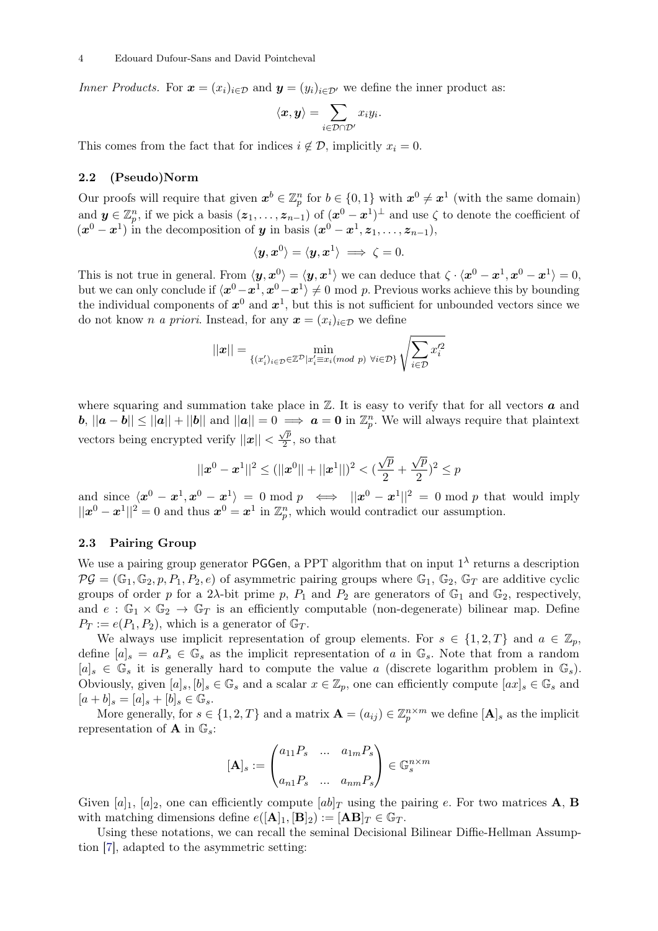<span id="page-3-1"></span>Inner Products. For  $\mathbf{x} = (x_i)_{i \in \mathcal{D}}$  and  $\mathbf{y} = (y_i)_{i \in \mathcal{D}}$  we define the inner product as:

$$
\langle \boldsymbol{x}, \boldsymbol{y} \rangle = \sum_{i \in \mathcal{D} \cap \mathcal{D}'} x_i y_i.
$$

This comes from the fact that for indices  $i \notin \mathcal{D}$ , implicitly  $x_i = 0$ .

## <span id="page-3-0"></span>2.2 (Pseudo)Norm

Our proofs will require that given  $x^b \in \mathbb{Z}_p^n$  for  $b \in \{0,1\}$  with  $x^0 \neq x^1$  (with the same domain) and  $y \in \mathbb{Z}_p^n$ , if we pick a basis  $(z_1, \ldots, z_{n-1})$  of  $(x^0 - x^1)^{\perp}$  and use  $\zeta$  to denote the coefficient of  $(x^{0}-x^{1})$  in the decomposition of y in basis  $(x^{0}-x^{1}, z_{1}, \ldots, z_{n-1}),$ 

$$
\langle \mathbf{y}, \mathbf{x}^0 \rangle = \langle \mathbf{y}, \mathbf{x}^1 \rangle \implies \zeta = 0.
$$

This is not true in general. From  $\langle y, x^0 \rangle = \langle y, x^1 \rangle$  we can deduce that  $\zeta \cdot \langle x^0 - x^1, x^0 - x^1 \rangle = 0$ , but we can only conclude if  $\langle x^0 - x^1, x^0 - x^1 \rangle \neq 0 \mod p$ . Previous works achieve this by bounding the individual components of  $x^0$  and  $x^1$ , but this is not sufficient for unbounded vectors since we do not know *n a priori*. Instead, for any  $\mathbf{x} = (x_i)_{i \in \mathcal{D}}$  we define

$$
||\boldsymbol{x}|| = \min_{\{(x_i')_{i \in \mathcal{D}} \in \mathbb{Z}^{\mathcal{D}} | x_i' \equiv x_i \pmod{p} \ \forall i \in \mathcal{D}\}} \sqrt{\sum_{i \in \mathcal{D}} x_i'^2}
$$

where squaring and summation take place in  $\mathbb{Z}$ . It is easy to verify that for all vectors  $\boldsymbol{a}$  and **b**,  $||\mathbf{a} - \mathbf{b}|| \le ||\mathbf{a}|| + ||\mathbf{b}||$  and  $||\mathbf{a}|| = 0 \implies \mathbf{a} = \mathbf{0}$  in  $\mathbb{Z}_p^n$ . We will always require that plaintext vectors being encrypted verify  $||\mathbf{x}|| < \frac{\sqrt{p}}{2}$  $\frac{p}{2}$ , so that

$$
||\mathbf{x}^0 - \mathbf{x}^1||^2 \le (||\mathbf{x}^0|| + ||\mathbf{x}^1||)^2 < (\frac{\sqrt{p}}{2} + \frac{\sqrt{p}}{2})^2 \le p
$$

and since  $\langle x^0 - x^1, x^0 - x^1 \rangle = 0$  mod  $p \iff ||x^0 - x^1||^2 = 0$  mod p that would imply  $||x^0 - x^1||^2 = 0$  and thus  $x^0 = x^1$  in  $\mathbb{Z}_p^n$ , which would contradict our assumption.

## 2.3 Pairing Group

We use a pairing group generator **PGGen**, a PPT algorithm that on input  $1^{\lambda}$  returns a description  $\mathcal{PG} = (\mathbb{G}_1, \mathbb{G}_2, p, P_1, P_2, e)$  of asymmetric pairing groups where  $\mathbb{G}_1, \mathbb{G}_2, \mathbb{G}_T$  are additive cyclic groups of order p for a 2 $\lambda$ -bit prime p,  $P_1$  and  $P_2$  are generators of  $\mathbb{G}_1$  and  $\mathbb{G}_2$ , respectively, and  $e : \mathbb{G}_1 \times \mathbb{G}_2 \to \mathbb{G}_T$  is an efficiently computable (non-degenerate) bilinear map. Define  $P_T := e(P_1, P_2)$ , which is a generator of  $\mathbb{G}_T$ .

We always use implicit representation of group elements. For  $s \in \{1,2,T\}$  and  $a \in \mathbb{Z}_p$ , define  $[a]_s = aP_s \in \mathbb{G}_s$  as the implicit representation of a in  $\mathbb{G}_s$ . Note that from a random  $[a]_s \in \mathbb{G}_s$  it is generally hard to compute the value a (discrete logarithm problem in  $\mathbb{G}_s$ ). Obviously, given  $[a]_s$ ,  $[b]_s \in \mathbb{G}_s$  and a scalar  $x \in \mathbb{Z}_p$ , one can efficiently compute  $[ax]_s \in \mathbb{G}_s$  and  $[a + b]_s = [a]_s + [b]_s \in \mathbb{G}_s.$ 

More generally, for  $s \in \{1, 2, T\}$  and a matrix  $\mathbf{A} = (a_{ij}) \in \mathbb{Z}_p^{n \times m}$  we define  $[\mathbf{A}]_s$  as the implicit representation of **A** in  $\mathbb{G}_s$ :

$$
[\mathbf{A}]_s := \begin{pmatrix} a_{11} P_s & \dots & a_{1m} P_s \\ \vdots & \vdots & \ddots & \vdots \\ a_{n1} P_s & \dots & a_{nm} P_s \end{pmatrix} \in \mathbb{G}_s^{n \times m}
$$

Given  $[a]_1$ ,  $[a]_2$ , one can efficiently compute  $[ab]_T$  using the pairing e. For two matrices **A**, **B** with matching dimensions define  $e([A]_1, [B]_2) := [AB]_T \in \mathbb{G}_T$ .

Using these notations, we can recall the seminal Decisional Bilinear Diffie-Hellman Assumption [\[7\]](#page-11-16), adapted to the asymmetric setting: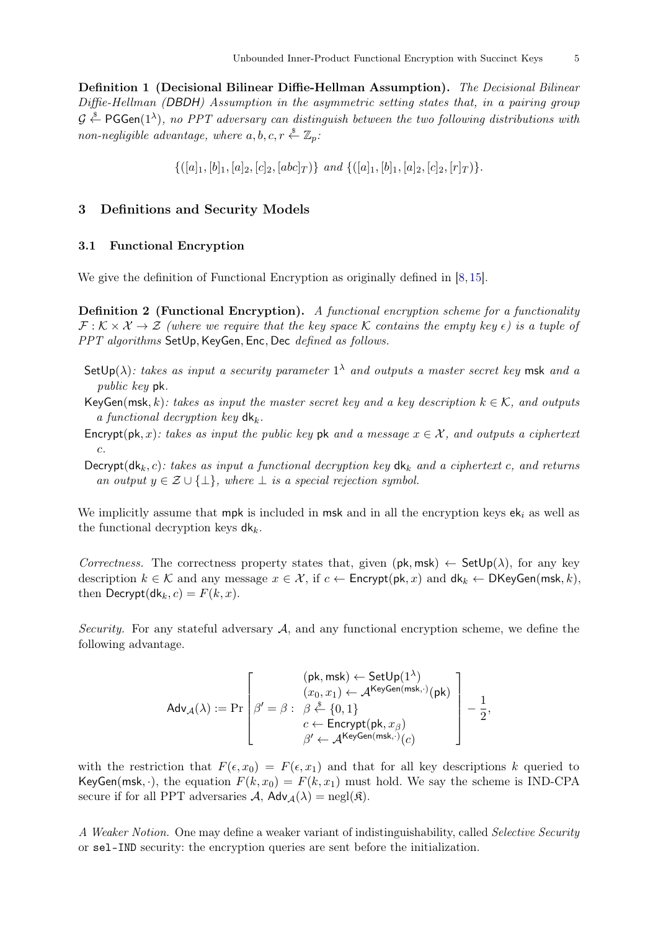<span id="page-4-1"></span>Definition 1 (Decisional Bilinear Diffie-Hellman Assumption). The Decisional Bilinear Diffie-Hellman (DBDH) Assumption in the asymmetric setting states that, in a pairing group  $\mathcal{G} \stackrel{\hspace{0.1em}\mathsf{\scriptscriptstyle\$}}{\leftarrow}$  PGGen(1<sup> $\lambda$ </sup>), no PPT adversary can distinguish between the two following distributions with non-negligible advantage, where  $a, b, c, r \stackrel{\$}{\leftarrow} \mathbb{Z}_n$ :

 $\{([a]_1, [b]_1, [a]_2, [c]_2, [abc]_T\}$  and  $\{([a]_1, [b]_1, [a]_2, [c]_2, [r]_T)\}.$ 

# <span id="page-4-0"></span>3 Definitions and Security Models

### 3.1 Functional Encryption

We give the definition of Functional Encryption as originally defined in [\[8,](#page-11-0)[15\]](#page-11-17).

Definition 2 (Functional Encryption). A functional encryption scheme for a functionality  $\mathcal{F}: \mathcal{K} \times \mathcal{X} \to \mathcal{Z}$  (where we require that the key space K contains the empty key  $\epsilon$ ) is a tuple of PPT algorithms SetUp, KeyGen, Enc, Dec defined as follows.

- SetUp( $\lambda$ ): takes as input a security parameter  $1^{\lambda}$  and outputs a master secret key msk and a public key pk.
- KeyGen(msk, k): takes as input the master secret key and a key description  $k \in \mathcal{K}$ , and outputs a functional decryption key  $dk_k$ .
- Encrypt(pk, x): takes as input the public key pk and a message  $x \in \mathcal{X}$ , and outputs a ciphertext c.
- Decrypt( $dk_k, c$ ): takes as input a functional decryption key  $dk_k$  and a ciphertext c, and returns an output  $y \in \mathcal{Z} \cup \{\perp\}$ , where  $\perp$  is a special rejection symbol.

We implicitly assume that mpk is included in msk and in all the encryption keys  $ek_i$  as well as the functional decryption keys  $dk_k$ .

Correctness. The correctness property states that, given  $(\mathsf{pk}, \mathsf{msk}) \leftarrow \mathsf{SetUp}(\lambda)$ , for any key description  $k \in \mathcal{K}$  and any message  $x \in \mathcal{X}$ , if  $c \leftarrow$  Encrypt(pk, x) and  $dk_k \leftarrow$  DKeyGen(msk, k), then  $\mathsf{Decrypt}(\mathsf{dk}_k, c) = F(k, x)$ .

Security. For any stateful adversary  $A$ , and any functional encryption scheme, we define the following advantage.

$$
\mathsf{Adv}_{\mathcal{A}}(\lambda) := \Pr\left[\begin{matrix} (\mathsf{pk}, \mathsf{msk}) \leftarrow \mathsf{SetUp}(1^{\lambda}) \\ (x_0, x_1) \leftarrow \mathcal{A}^{\mathsf{KeyGen}(\mathsf{msk}, \cdot)}(\mathsf{pk}) \\ (\beta' = \beta: \begin{array}{l} \beta \overset{\hspace{0.1em}\mathsf{\scriptscriptstyle\$}}{\leftarrow} \{0, 1\} \\ c \leftarrow \mathsf{Encrypt}(\mathsf{pk}, x_{\beta}) \\ \beta' \leftarrow \mathcal{A}^{\mathsf{KeyGen}(\mathsf{msk}, \cdot)}(c) \end{array}\right] - \frac{1}{2}, \end{matrix}\right]
$$

with the restriction that  $F(\epsilon, x_0) = F(\epsilon, x_1)$  and that for all key descriptions k queried to KeyGen(msk,  $\cdot$ ), the equation  $F(k, x_0) = F(k, x_1)$  must hold. We say the scheme is IND-CPA secure if for all PPT adversaries  $\mathcal{A}$ ,  $\mathsf{Adv}_{\mathcal{A}}(\lambda) = \text{negl}(\mathfrak{K})$ .

A Weaker Notion. One may define a weaker variant of indistinguishability, called Selective Security or sel-IND security: the encryption queries are sent before the initialization.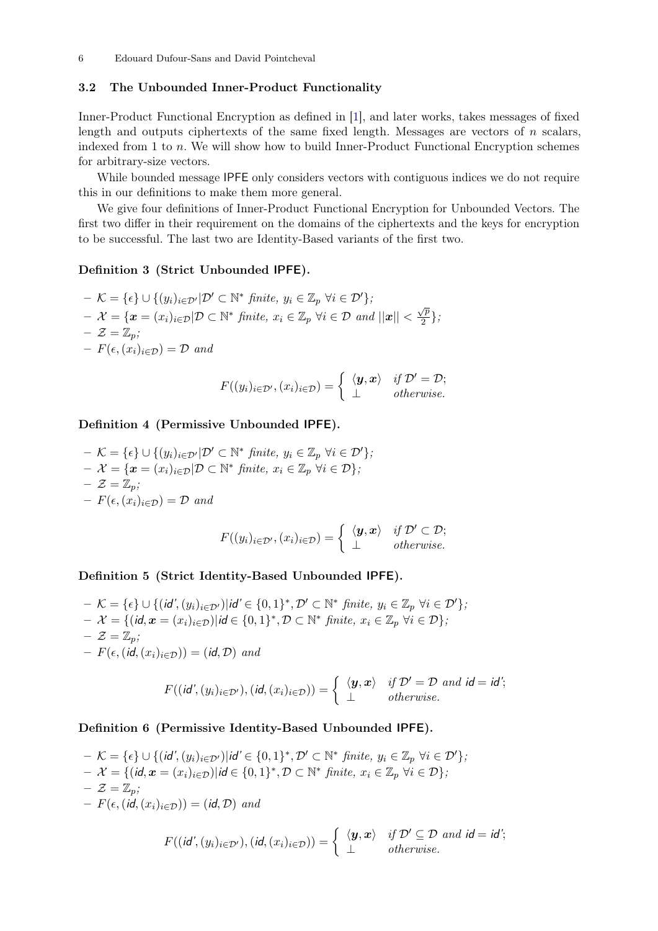## <span id="page-5-0"></span>3.2 The Unbounded Inner-Product Functionality

Inner-Product Functional Encryption as defined in [\[1\]](#page-11-10), and later works, takes messages of fixed length and outputs ciphertexts of the same fixed length. Messages are vectors of  $n$  scalars, indexed from 1 to n. We will show how to build Inner-Product Functional Encryption schemes for arbitrary-size vectors.

While bounded message IPFE only considers vectors with contiguous indices we do not require this in our definitions to make them more general.

We give four definitions of Inner-Product Functional Encryption for Unbounded Vectors. The first two differ in their requirement on the domains of the ciphertexts and the keys for encryption to be successful. The last two are Identity-Based variants of the first two.

## Definition 3 (Strict Unbounded IPFE).

 $-\mathcal{K} = \{\epsilon\} \cup \{(y_i)_{i \in \mathcal{D}'} | \mathcal{D}' \subset \mathbb{N}^* \text{ finite, } y_i \in \mathbb{Z}_p \text{ } \forall i \in \mathcal{D}'\},\$  $-\mathcal{X} = {\mathbf{x} = (x_i)_{i \in \mathcal{D}} | \mathcal{D} \subset \mathbb{N}^* \text{ finite, } x_i \in \mathbb{Z}_p \text{ } \forall i \in \mathcal{D} \text{ and } ||\mathbf{x}|| < \frac{\sqrt{p}}{2}$  $\frac{\sqrt{p}}{2}\},\$  $\mathcal{Z} = \mathbb{Z}_p;$  $-F(\epsilon,(x_i)_{i\in\mathcal{D}})=\mathcal{D}$  and

$$
F((y_i)_{i\in\mathcal{D}'}, (x_i)_{i\in\mathcal{D}}) = \begin{cases} \langle \mathbf{y}, \mathbf{x} \rangle & \text{if } \mathcal{D}' = \mathcal{D}; \\ \perp & \text{otherwise.} \end{cases}
$$

# Definition 4 (Permissive Unbounded IPFE).

 $-\mathcal{K} = \{\epsilon\} \cup \{(y_i)_{i \in \mathcal{D}'} | \mathcal{D}' \subset \mathbb{N}^* \text{ finite}, y_i \in \mathbb{Z}_p \forall i \in \mathcal{D}'\},\$  $-\mathcal{X} = {\mathbf{x} = (x_i)_{i \in \mathcal{D}} | \mathcal{D} \subset \mathbb{N}^* \text{ finite, } x_i \in \mathbb{Z}_p \text{ } \forall i \in \mathcal{D}}$  $\mathcal{Z} = \mathbb{Z}_n;$  $-F(\epsilon,(x_i)_{i\in\mathcal{D}})=\mathcal{D}$  and

$$
F((y_i)_{i\in\mathcal{D}'}, (x_i)_{i\in\mathcal{D}}) = \begin{cases} \langle \mathbf{y}, \mathbf{x} \rangle & \text{if } \mathcal{D}' \subset \mathcal{D}; \\ \perp & \text{otherwise.} \end{cases}
$$

## Definition 5 (Strict Identity-Based Unbounded IPFE).

 $-\mathcal{K} = \{\epsilon\} \cup \{(\textit{id}', (y_i)_{i \in \mathcal{D}'})|\textit{id}' \in \{0,1\}^*, \mathcal{D}' \subset \mathbb{N}^*\textit{ finite}, y_i \in \mathbb{Z}_p \ \forall i \in \mathcal{D}'\},\$  $-\mathcal{X} = \{ (id, \mathbf{x} = (x_i)_{i \in \mathcal{D}}) | id \in \{0,1\}^*, \mathcal{D} \subset \mathbb{N}^* \text{ finite}, x_i \in \mathbb{Z}_p \ \forall i \in \mathcal{D} \},\$  $\mathcal{Z} = \mathbb{Z}_n$ :  $-F(\epsilon,(id,(x_i)_{i\in\mathcal{D}}))=(id,\mathcal{D})$  and

$$
F((id', (y_i)_{i \in \mathcal{D}'}), (id, (x_i)_{i \in \mathcal{D}})) = \begin{cases} \langle \mathbf{y}, \mathbf{x} \rangle & \text{if } \mathcal{D}' = \mathcal{D} \text{ and } id = id';\\ \perp & \text{otherwise.} \end{cases}
$$

#### Definition 6 (Permissive Identity-Based Unbounded IPFE).

$$
- \mathcal{K} = \{\epsilon\} \cup \{ (id', (y_i)_{i \in \mathcal{D}'} ) | id' \in \{0, 1\}^*, \mathcal{D}' \subset \mathbb{N}^* \text{ finite, } y_i \in \mathbb{Z}_p \ \forall i \in \mathcal{D}' \};
$$
  
\n
$$
- \mathcal{X} = \{ (id, \mathbf{x} = (x_i)_{i \in \mathcal{D}}) | id \in \{0, 1\}^*, \mathcal{D} \subset \mathbb{N}^* \text{ finite, } x_i \in \mathbb{Z}_p \ \forall i \in \mathcal{D} \};
$$
  
\n
$$
- \mathcal{Z} = \mathbb{Z}_p;
$$
  
\n
$$
- F(\epsilon, (id, (x_i)_{i \in \mathcal{D}})) = (id, \mathcal{D}) \text{ and}
$$
  
\n
$$
F((id', (y_i)_{i \in \mathcal{D}'}), (id, (x_i)_{i \in \mathcal{D}})) = \begin{cases} \langle \mathbf{y}, \mathbf{x} \rangle & \text{if } \mathcal{D}' \subseteq \mathcal{D} \text{ and } id = id';\\ \perp & \text{otherwise.} \end{cases}
$$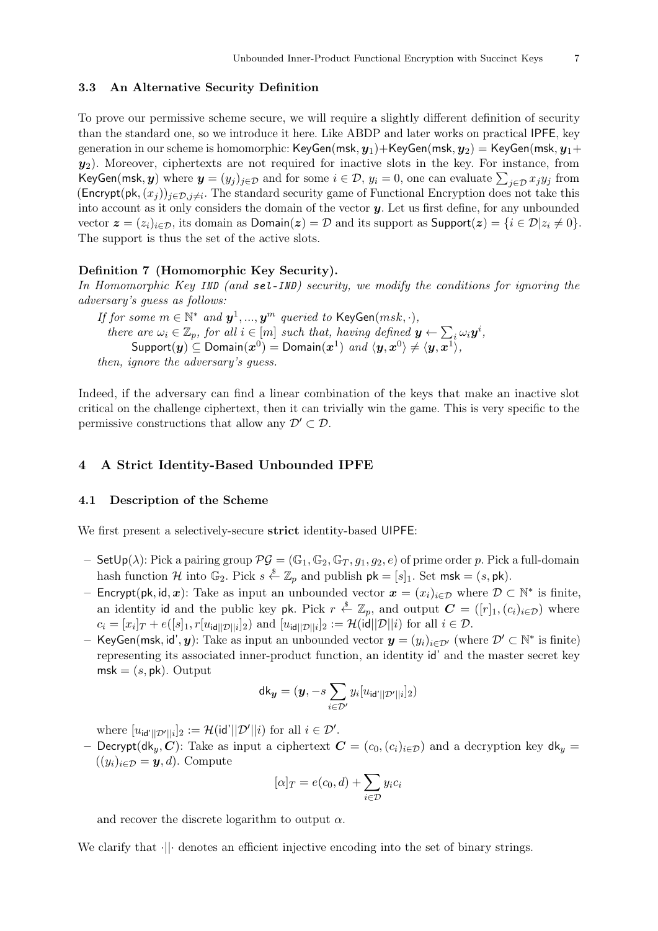# <span id="page-6-0"></span>3.3 An Alternative Security Definition

To prove our permissive scheme secure, we will require a slightly different definition of security than the standard one, so we introduce it here. Like ABDP and later works on practical IPFE, key generation in our scheme is homomorphic: KeyGen(msk,  $y_1$ )+KeyGen(msk,  $y_2$ ) = KeyGen(msk,  $y_1$ +  $y_2$ ). Moreover, ciphertexts are not required for inactive slots in the key. For instance, from KeyGen(msk,  $y$ ) where  $y=(y_j)_{j\in\mathcal{D}}$  and for some  $i\in\mathcal{D},$   $y_i=0,$  one can evaluate  $\sum_{j\in\mathcal{D}}x_jy_j$  from  $(\textsf{Encrypt}(pk, (x_j))_{j \in \mathcal{D}, j \neq i}$ . The standard security game of Functional Encryption does not take this into account as it only considers the domain of the vector y. Let us first define, for any unbounded vector  $\mathbf{z} = (z_i)_{i \in \mathcal{D}}$ , its domain as  $\text{Domain}(\mathbf{z}) = \mathcal{D}$  and its support as  $\text{Support}(\mathbf{z}) = \{i \in \mathcal{D} | z_i \neq 0\}.$ The support is thus the set of the active slots.

## Definition 7 (Homomorphic Key Security).

In Homomorphic Key IND (and sel-IND) security, we modify the conditions for ignoring the adversary's guess as follows:

If for some  $m \in \mathbb{N}^*$  and  $\mathbf{y}^1, ..., \mathbf{y}^m$  queried to KeyGen $(msk, \cdot)$ , there are  $\omega_i \in \mathbb{Z}_p$ , for all  $i \in [m]$  such that, having defined  $y \leftarrow \sum_i \omega_i y^i$ ,  $\mathsf{Support}(\boldsymbol{y}) \subseteq \mathsf{Domain}(\boldsymbol{x}^0) = \mathsf{Domain}(\boldsymbol{x}^1) \ \ and \ \langle \boldsymbol{y}, \boldsymbol{x}^0 \rangle \neq \langle \boldsymbol{y}, \boldsymbol{x}^1 \rangle,$ then, ignore the adversary's guess.

Indeed, if the adversary can find a linear combination of the keys that make an inactive slot critical on the challenge ciphertext, then it can trivially win the game. This is very specific to the permissive constructions that allow any  $\mathcal{D}' \subset \mathcal{D}$ .

## <span id="page-6-1"></span>4 A Strict Identity-Based Unbounded IPFE

#### 4.1 Description of the Scheme

We first present a selectively-secure strict identity-based UIPFE:

- SetUp( $\lambda$ ): Pick a pairing group  $\mathcal{PG} = (\mathbb{G}_1, \mathbb{G}_2, \mathbb{G}_T, g_1, g_2, e)$  of prime order p. Pick a full-domain hash function H into  $\mathbb{G}_2$ . Pick  $s \stackrel{\$}{\leftarrow} \mathbb{Z}_p$  and publish  $pk = [s]_1$ . Set msk =  $(s, pk)$ .
- Encrypt(pk, id, x): Take as input an unbounded vector  $x = (x_i)_{i \in \mathcal{D}}$  where  $\mathcal{D} \subset \mathbb{N}^*$  is finite, an identity id and the public key pk. Pick  $r \stackrel{\$}{\leftarrow} \mathbb{Z}_p$ , and output  $\mathbf{C} = ([r]_1, (c_i)_{i \in \mathcal{D}})$  where  $c_i = [x_i]_T + e([s]_1, r[u_{\text{id}}||\mathcal{D}||i_2])$  and  $[u_{\text{id}}||\mathcal{D}||i_2] := \mathcal{H}(\text{id}||\mathcal{D}||i)$  for all  $i \in \mathcal{D}$ .
- − KeyGen(msk, id',  $y$ ): Take as input an unbounded vector  $y = (y_i)_{i \in \mathcal{D}'}$  (where  $\mathcal{D}' \subset \mathbb{N}^*$  is finite) representing its associated inner-product function, an identity id' and the master secret key  $msk = (s, pk)$ . Output

$$
\mathsf{d}\mathsf{k}_\mathbf{y} = (\mathbf{y}, -s\sum_{i\in\mathcal{D}'}y_i[u_{\mathsf{id}'}||\mathcal{D}'||i]2)
$$

where  $[u_{\mathsf{id}'}||\mathcal{D}'||i]_2 := \mathcal{H}(\mathsf{id}'||\mathcal{D}'||i)$  for all  $i \in \mathcal{D}'$ .

– Decrypt(dk<sub>y</sub>, C): Take as input a ciphertext  $C = (c_0, (c_i)_{i \in \mathcal{D}})$  and a decryption key dk<sub>y</sub> =  $((y_i)_{i\in\mathcal{D}}=y,d)$ . Compute

$$
[\alpha]_T = e(c_0, d) + \sum_{i \in \mathcal{D}} y_i c_i
$$

and recover the discrete logarithm to output  $\alpha$ .

We clarify that ·||· denotes an efficient injective encoding into the set of binary strings.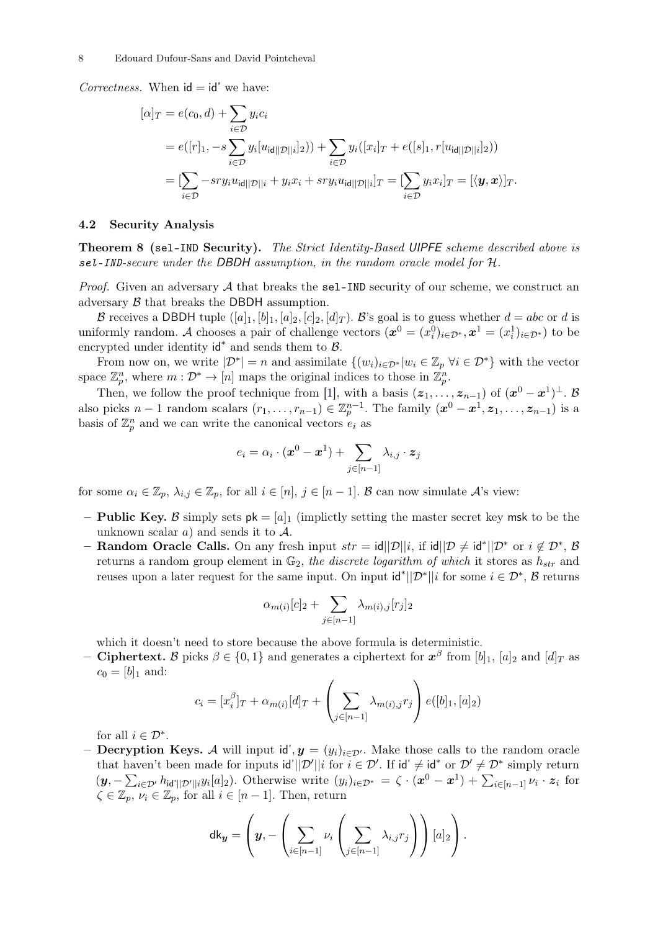#### <span id="page-7-0"></span>8 Edouard Dufour-Sans and David Pointcheval

Correctness. When  $\mathsf{id} = \mathsf{id}'$  we have:

$$
[\alpha]_T = e(c_0, d) + \sum_{i \in \mathcal{D}} y_i c_i
$$
  
=  $e([r]_1, -s \sum_{i \in \mathcal{D}} y_i [u_{\mathbf{id}||\mathcal{D}||i}]_2)) + \sum_{i \in \mathcal{D}} y_i ([x_i]_T + e([s]_1, r[u_{\mathbf{id}||\mathcal{D}||i}]_2))$   
= 
$$
[\sum_{i \in \mathcal{D}} -sr y_i u_{\mathbf{id}||\mathcal{D}||i} + y_i x_i + sr y_i u_{\mathbf{id}||\mathcal{D}||i}]_T = [\sum_{i \in \mathcal{D}} y_i x_i]_T = [\langle \mathbf{y}, \mathbf{x} \rangle]_T.
$$

## 4.2 Security Analysis

Theorem 8 (sel-IND Security). The Strict Identity-Based UIPFE scheme described above is  $sel\text{-}IND\text{-}secure under the DBDH assumption, in the random oracle model for  $H$ .$ 

*Proof.* Given an adversary  $A$  that breaks the sel-IND security of our scheme, we construct an adversary  $\beta$  that breaks the DBDH assumption.

B receives a DBDH tuple  $([a]_1, [b]_1, [a]_2, [c]_2, [d]_T)$ . B's goal is to guess whether  $d = abc$  or d is uniformly random. A chooses a pair of challenge vectors  $(\mathbf{x}^0 = (x_i^0)_{i \in \mathcal{D}^*}, \mathbf{x}^1 = (x_i^1)_{i \in \mathcal{D}^*})$  to be encrypted under identity  $\mathsf{id}^*$  and sends them to  $\mathcal{B}$ .

From now on, we write  $|\mathcal{D}^*| = n$  and assimilate  $\{(w_i)_{i \in \mathcal{D}^*} | w_i \in \mathbb{Z}_p \; \forall i \in \mathcal{D}^*\}$  with the vector space  $\mathbb{Z}_p^n$ , where  $m: \mathcal{D}^* \to [n]$  maps the original indices to those in  $\mathbb{Z}_p^n$ .

Then, we follow the proof technique from [\[1\]](#page-11-10), with a basis  $(z_1, \ldots, z_{n-1})$  of  $(x^0 - x^1)^{\perp}$ . B also picks  $n-1$  random scalars  $(r_1, \ldots, r_{n-1}) \in \mathbb{Z}_p^{n-1}$ . The family  $(\boldsymbol{x}^0 - \boldsymbol{x}^1, \boldsymbol{z}_1, \ldots, \boldsymbol{z}_{n-1})$  is a basis of  $\mathbb{Z}_p^n$  and we can write the canonical vectors  $e_i$  as

$$
e_i = \alpha_i \cdot (\boldsymbol{x}^0 - \boldsymbol{x}^1) + \sum_{j \in [n-1]} \lambda_{i,j} \cdot \boldsymbol{z}_j
$$

for some  $\alpha_i \in \mathbb{Z}_p$ ,  $\lambda_{i,j} \in \mathbb{Z}_p$ , for all  $i \in [n]$ ,  $j \in [n-1]$ .  $\mathcal B$  can now simulate  $\mathcal A$ 's view:

- **Public Key.** B simply sets  $pk = [a]_1$  (implictly setting the master secret key msk to be the unknown scalar  $a$ ) and sends it to  $A$ .
- Random Oracle Calls. On any fresh input  $str = id||\mathcal{D}||i$ , if  $id||\mathcal{D} \neq id^*||\mathcal{D}^*$  or  $i \notin \mathcal{D}^*, \mathcal{B}$ returns a random group element in  $\mathbb{G}_2$ , the discrete logarithm of which it stores as  $h_{str}$  and reuses upon a later request for the same input. On input  $\mathsf{id}^*||\mathcal{D}^*||i$  for some  $i \in \mathcal{D}^*$ ,  $\mathcal{B}$  returns

$$
\alpha_{m(i)}[c]_2+\sum_{j\in[n-1]}\lambda_{m(i),j}[r_j]_2
$$

which it doesn't need to store because the above formula is deterministic.

- Ciphertext. B picks  $\beta \in \{0,1\}$  and generates a ciphertext for  $\mathbf{x}^{\beta}$  from  $[b]_1$ ,  $[a]_2$  and  $[d]_T$  as  $c_0 = [b]_1$  and:

$$
c_i = [x_i^{\beta}]_T + \alpha_{m(i)}[d]_T + \left(\sum_{j \in [n-1]} \lambda_{m(i),j} r_j\right) e([b]_1, [a]_2)
$$

for all  $i \in \mathcal{D}^*$ .

– **Decryption Keys.** A will input id',  $y = (y_i)_{i \in \mathcal{D}}$ . Make those calls to the random oracle that haven't been made for inputs  $\mathsf{id}' || \mathcal{D}' || i$  for  $i \in \mathcal{D}'$ . If  $\mathsf{id}' \neq \mathsf{id}^*$  or  $\mathcal{D}' \neq \mathcal{D}^*$  simply return  $(\boldsymbol{y}, -\sum_{i\in\mathcal{D}'} h_{\mathsf{id}'} ||\mathcal{D}' || i\mathcal{Y}_i[a]_2)$ . Otherwise write  $(y_i)_{i\in\mathcal{D}^*} = \zeta \cdot (\boldsymbol{x}^0 - \boldsymbol{x}^1) + \sum_{i\in[n-1]} \nu_i \cdot \boldsymbol{z}_i$  for  $\zeta \in \mathbb{Z}_p$ ,  $\nu_i \in \mathbb{Z}_p$ , for all  $i \in [n-1]$ . Then, return

$$
\mathsf{dk}_{\mathbf{y}} = \left(\mathbf{y}, -\left(\sum_{i \in [n-1]} \nu_i \left(\sum_{j \in [n-1]} \lambda_{i,j} r_j\right)\right) [a]_2\right).
$$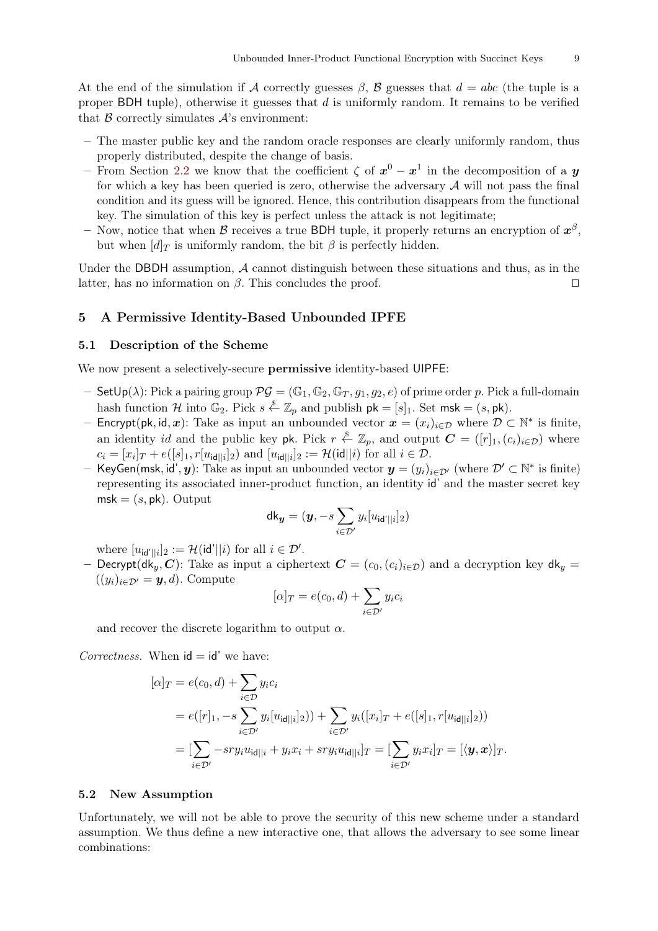At the end of the simulation if A correctly guesses  $\beta$ , B guesses that  $d = abc$  (the tuple is a proper BDH tuple), otherwise it guesses that  $d$  is uniformly random. It remains to be verified that  $\beta$  correctly simulates  $\mathcal{A}$ 's environment:

- The master public key and the random oracle responses are clearly uniformly random, thus properly distributed, despite the change of basis.
- From Section [2.2](#page-3-0) we know that the coefficient  $\zeta$  of  $x^0 x^1$  in the decomposition of a y for which a key has been queried is zero, otherwise the adversary  $A$  will not pass the final condition and its guess will be ignored. Hence, this contribution disappears from the functional key. The simulation of this key is perfect unless the attack is not legitimate;
- Now, notice that when B receives a true BDH tuple, it properly returns an encryption of  $\mathbf{x}^{\beta}$ , but when  $[d]_T$  is uniformly random, the bit  $\beta$  is perfectly hidden.

Under the DBDH assumption,  $\mathcal A$  cannot distinguish between these situations and thus, as in the latter, has no information on  $\beta$ . This concludes the proof.  $\Box$ 

## <span id="page-8-0"></span>5 A Permissive Identity-Based Unbounded IPFE

## 5.1 Description of the Scheme

We now present a selectively-secure permissive identity-based UIPFE:

- SetUp( $\lambda$ ): Pick a pairing group  $\mathcal{PG} = (\mathbb{G}_1, \mathbb{G}_2, \mathbb{G}_T, g_1, g_2, e)$  of prime order p. Pick a full-domain hash function H into  $\mathbb{G}_2$ . Pick  $s \stackrel{\$}{\leftarrow} \mathbb{Z}_p$  and publish  $pk = [s]_1$ . Set msk =  $(s, pk)$ .
- Encrypt(pk, id, x): Take as input an unbounded vector  $x = (x_i)_{i \in \mathcal{D}}$  where  $\mathcal{D} \subset \mathbb{N}^*$  is finite, an identity id and the public key pk. Pick  $r \stackrel{\$}{\leftarrow} \mathbb{Z}_p$ , and output  $\mathbf{C} = ([r]_1, (c_i)_{i \in \mathcal{D}})$  where  $c_i = [x_i]_T + e([s]_1, r[u_{\text{id}||i}]_2)$  and  $[u_{\text{id}||i}]_2 := \mathcal{H}(\text{id}||i)$  for all  $i \in \mathcal{D}$ .
- KeyGen(msk, id', y): Take as input an unbounded vector  $y = (y_i)_{i \in \mathcal{D}}$  (where  $\mathcal{D}' \subset \mathbb{N}^*$  is finite) representing its associated inner-product function, an identity id' and the master secret key  $msk = (s, pk)$ . Output

$$
\mathsf{d}\mathsf{k}_{\boldsymbol{y}} = (\boldsymbol{y}, -s\sum_{i\in\mathcal{D}'}y_i[u_{\mathsf{id}']|i}]_2)
$$

where  $[u_{\mathsf{id}'}||_i]_2 := \mathcal{H}(\mathsf{id}'||i)$  for all  $i \in \mathcal{D}'$ .

– Decrypt(dk<sub>y</sub>, C): Take as input a ciphertext  $C = (c_0, (c_i)_{i \in \mathcal{D}})$  and a decryption key dk<sub>y</sub>  $((y_i)_{i \in \mathcal{D}'} = y, d)$ . Compute

$$
[\alpha]_T = e(c_0, d) + \sum_{i \in \mathcal{D}'} y_i c_i
$$

and recover the discrete logarithm to output  $\alpha$ .

*Correctness.* When  $id = id'$  we have:

$$
[\alpha]_T = e(c_0, d) + \sum_{i \in \mathcal{D}} y_i c_i
$$
  
=  $e([r]_1, -s \sum_{i \in \mathcal{D}'} y_i [u_{\mathbf{id}||i}]_2)) + \sum_{i \in \mathcal{D}'} y_i ([x_i]_T + e([s]_1, r[u_{\mathbf{id}||i}]_2))$   
= 
$$
[\sum_{i \in \mathcal{D}'} -sr y_i u_{\mathbf{id}||i} + y_i x_i + sr y_i u_{\mathbf{id}||i}]_T = [\sum_{i \in \mathcal{D}'} y_i x_i]_T = [\langle \mathbf{y}, \mathbf{x} \rangle]_T.
$$

## 5.2 New Assumption

Unfortunately, we will not be able to prove the security of this new scheme under a standard assumption. We thus define a new interactive one, that allows the adversary to see some linear combinations: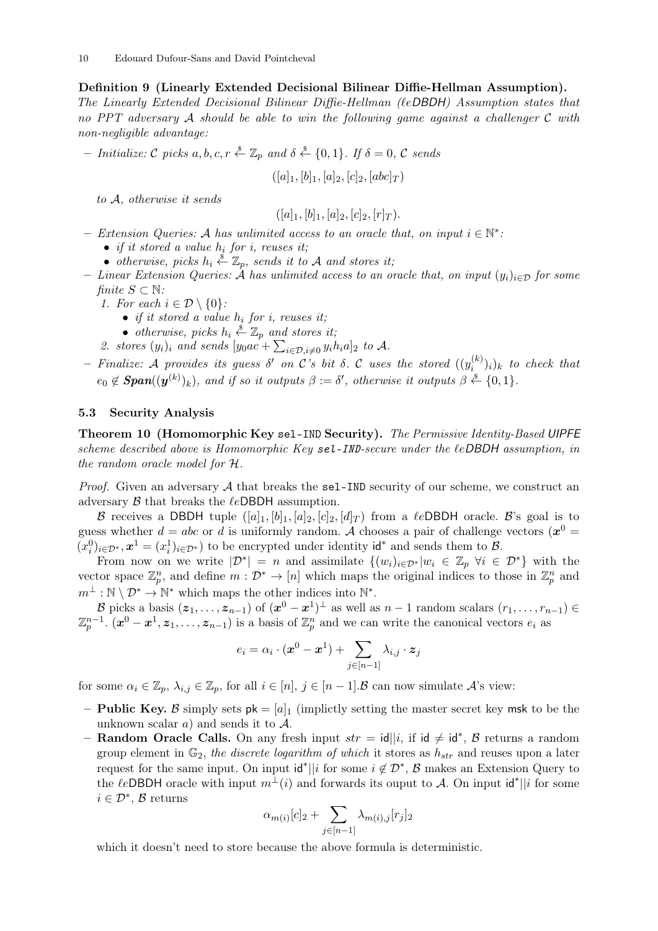#### Definition 9 (Linearly Extended Decisional Bilinear Diffie-Hellman Assumption).

The Linearly Extended Decisional Bilinear Diffie-Hellman ( $\ell$ eDBDH) Assumption states that no PPT adversary A should be able to win the following game against a challenger C with non-negligible advantage:

 $-$  Initialize: C picks a, b, c, r  $\stackrel{\$}{\leftarrow} \mathbb{Z}_p$  and δ $\stackrel{\$}{\leftarrow}$  {0, 1}. If δ = 0, C sends

$$
([a]_1, [b]_1, [a]_2, [c]_2, [abc]_T)
$$

to A, otherwise it sends

$$
([a]_1, [b]_1, [a]_2, [c]_2, [r]_T).
$$

- $-$  Extension Queries: A has unlimited access to an oracle that, on input  $i \in \mathbb{N}^*$ .
	- if it stored a value  $h_i$  for i, reuses it;
	- otherwise, picks  $h_i \stackrel{\$}{\leftarrow} \mathbb{Z}_p$ , sends it to A and stores it;
- Linear Extension Queries: A has unlimited access to an oracle that, on input  $(y_i)_{i \in \mathcal{D}}$  for some finite  $S \subset \mathbb{N}$ :
	- 1. For each  $i \in \mathcal{D} \setminus \{0\}$ :
		- if it stored a value  $h_i$  for i, reuses it;
		- otherwise, picks  $h_i \overset{\$}{\leftarrow} \mathbb{Z}_p$  and stores it;
	- 2. stores  $(y_i)_i$  and sends  $[y_0ac + \sum_{i \in \mathcal{D}, i \neq 0} y_i h_i a]_2$  to A.
- $-$  Finalize: A provides its guess  $\delta'$  on  $\mathcal{C}'$ s bit  $\delta$ .  $\mathcal{C}$  uses the stored  $((y_i^{(k)})^T)$  $(i^{(\kappa)})_i)_k$  to check that  $e_0 \notin \mathit{Span}((y^{(k)})_k)$ , and if so it outputs  $\beta := \delta'$ , otherwise it outputs  $\beta \stackrel{\$}{\leftarrow} \{0,1\}$ .

#### 5.3 Security Analysis

Theorem 10 (Homomorphic Key sel-IND Security). The Permissive Identity-Based UIPFE scheme described above is Homomorphic Key sel-IND-secure under the  $\ell$ eDBDH assumption, in the random oracle model for H.

*Proof.* Given an adversary  $A$  that breaks the sel-IND security of our scheme, we construct an adversary  $\beta$  that breaks the  $\ell$ eDBDH assumption.

B receives a DBDH tuple  $([a]_1, [b]_1, [a]_2, [c]_2, [d]_T)$  from a leDBDH oracle. B's goal is to guess whether  $d = abc$  or d is uniformly random. A chooses a pair of challenge vectors  $(\mathbf{x}^0 =$  $(x_i^0)_{i \in \mathcal{D}^*}, \mathbf{x}^1 = (x_i^1)_{i \in \mathcal{D}^*}$  to be encrypted under identity  $\mathsf{id}^*$  and sends them to  $\mathcal{B}$ .

From now on we write  $|\mathcal{D}^*| = n$  and assimilate  $\{(w_i)_{i \in \mathcal{D}^*} | w_i \in \mathbb{Z}_p \; \forall i \in \mathcal{D}^*\}\$  with the vector space  $\mathbb{Z}_p^n$ , and define  $m: \mathcal{D}^* \to [n]$  which maps the original indices to those in  $\mathbb{Z}_p^n$  and  $m^{\perp}: \mathbb{N} \setminus \mathcal{D}^* \to \mathbb{N}^*$  which maps the other indices into  $\mathbb{N}^*$ .

B picks a basis  $(z_1, \ldots, z_{n-1})$  of  $(x^0 - x^1)^{\perp}$  as well as  $n-1$  random scalars  $(r_1, \ldots, r_{n-1}) \in$  $\mathbb{Z}_p^{n-1}$ .  $(\mathbf{x}^0-\mathbf{x}^1,\mathbf{z}_1,\ldots,\mathbf{z}_{n-1})$  is a basis of  $\mathbb{Z}_p^n$  and we can write the canonical vectors  $e_i$  as

$$
e_i = \alpha_i \cdot (\boldsymbol{x}^0 - \boldsymbol{x}^1) + \sum_{j \in [n-1]} \lambda_{i,j} \cdot \boldsymbol{z}_j
$$

for some  $\alpha_i \in \mathbb{Z}_p$ ,  $\lambda_{i,j} \in \mathbb{Z}_p$ , for all  $i \in [n]$ ,  $j \in [n-1]$ . B can now simulate A's view:

- **Public Key.** B simply sets  $pk = [a]_1$  (implictly setting the master secret key msk to be the unknown scalar  $a$ ) and sends it to  $A$ .
- Random Oracle Calls. On any fresh input  $str = id||i$ , if  $id \neq id^*, \mathcal{B}$  returns a random group element in  $\mathbb{G}_2$ , the discrete logarithm of which it stores as  $h_{str}$  and reuses upon a later request for the same input. On input  $\mathsf{id}^*||i$  for some  $i \notin \mathcal{D}^*$ ,  $\mathcal{B}$  makes an Extension Query to the  $\ell$ eDBDH oracle with input  $m^{\perp}(i)$  and forwards its ouput to A. On input id<sup>\*</sup>||i for some  $i \in \mathcal{D}^*, \mathcal{B}$  returns

$$
\alpha_{m(i)}[c]_2 + \sum_{j \in [n-1]} \lambda_{m(i),j}[r_j]_2
$$

which it doesn't need to store because the above formula is deterministic.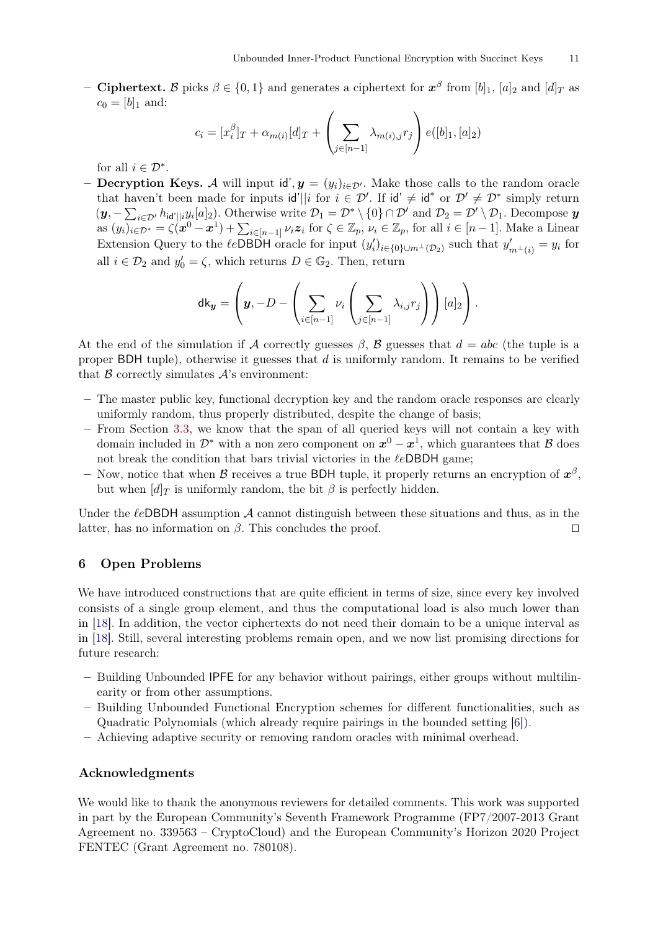<span id="page-10-0"></span>- Ciphertext. B picks  $\beta \in \{0,1\}$  and generates a ciphertext for  $\mathbf{x}^{\beta}$  from  $[b]_1$ ,  $[a]_2$  and  $[d]_T$  as  $c_0 = [b]_1$  and:

$$
c_i = [x_i^{\beta}]_T + \alpha_{m(i)}[d]_T + \left(\sum_{j \in [n-1]} \lambda_{m(i),j} r_j\right) e([b]_1, [a]_2)
$$

for all  $i \in \mathcal{D}^*$ .

– **Decryption Keys.** A will input id',  $y = (y_i)_{i \in \mathcal{D}}$ . Make those calls to the random oracle that haven't been made for inputs  $\mathrm{id}'||i$  for  $i \in \mathcal{D}'$ . If  $\mathrm{id}' \neq \mathrm{id}^*$  or  $\mathcal{D}' \neq \mathcal{D}^*$  simply return  $(y, -\sum_{i\in\mathcal{D}'} h_{id'||i}y_i[a]_2)$ . Otherwise write  $\mathcal{D}_1 = \mathcal{D}^*\setminus\{0\}\cap\mathcal{D}'$  and  $\mathcal{D}_2 = \mathcal{D}'\setminus\mathcal{D}_1$ . Decompose  $y$ as  $(y_i)_{i\in\mathcal{D}^*} = \zeta(\mathbf{x}^0 - \mathbf{x}^1) + \sum_{i\in[n-1]} \nu_i \mathbf{z}_i$  for  $\zeta \in \mathbb{Z}_p$ ,  $\nu_i \in \mathbb{Z}_p$ , for all  $i \in [n-1]$ . Make a Linear Extension Query to the  $\ell$ eDBDH oracle for input  $(y_i')_{i\in\{0\}\cup m^\perp(\mathcal{D}_2)}$  such that  $y'_{m^\perp(i)} = y_i$  for all  $i \in \mathcal{D}_2$  and  $y'_0 = \zeta$ , which returns  $D \in \mathbb{G}_2$ . Then, return

$$
\mathsf{d}\mathsf{k}_{\mathbf{y}} = \left(\mathbf{y}, -D - \left(\sum_{i \in [n-1]} \nu_i \left(\sum_{j \in [n-1]} \lambda_{i,j} r_j\right)\right) [a]_2\right).
$$

At the end of the simulation if A correctly guesses  $\beta$ , B guesses that  $d = abc$  (the tuple is a proper BDH tuple), otherwise it guesses that  $d$  is uniformly random. It remains to be verified that  $\beta$  correctly simulates  $\mathcal{A}$ 's environment:

- The master public key, functional decryption key and the random oracle responses are clearly uniformly random, thus properly distributed, despite the change of basis;
- From Section [3.3,](#page-6-0) we know that the span of all queried keys will not contain a key with domain included in  $\mathcal{D}^*$  with a non zero component on  $x^0 - x^1$ , which guarantees that  $\mathcal B$  does not break the condition that bars trivial victories in the  $\ell e\mathsf{DBDH}$  game;
- Now, notice that when B receives a true BDH tuple, it properly returns an encryption of  $\mathbf{x}^{\beta}$ , but when  $[d]_T$  is uniformly random, the bit  $\beta$  is perfectly hidden.

Under the  $\ell e$ DBDH assumption A cannot distinguish between these situations and thus, as in the latter, has no information on  $\beta$ . This concludes the proof.  $\Box$ 

# 6 Open Problems

We have introduced constructions that are quite efficient in terms of size, since every key involved consists of a single group element, and thus the computational load is also much lower than in [\[18\]](#page-11-12). In addition, the vector ciphertexts do not need their domain to be a unique interval as in [\[18\]](#page-11-12). Still, several interesting problems remain open, and we now list promising directions for future research:

- Building Unbounded IPFE for any behavior without pairings, either groups without multilinearity or from other assumptions.
- Building Unbounded Functional Encryption schemes for different functionalities, such as Quadratic Polynomials (which already require pairings in the bounded setting [\[6\]](#page-11-18)).
- Achieving adaptive security or removing random oracles with minimal overhead.

# Acknowledgments

We would like to thank the anonymous reviewers for detailed comments. This work was supported in part by the European Community's Seventh Framework Programme (FP7/2007-2013 Grant Agreement no. 339563 – CryptoCloud) and the European Community's Horizon 2020 Project FENTEC (Grant Agreement no. 780108).